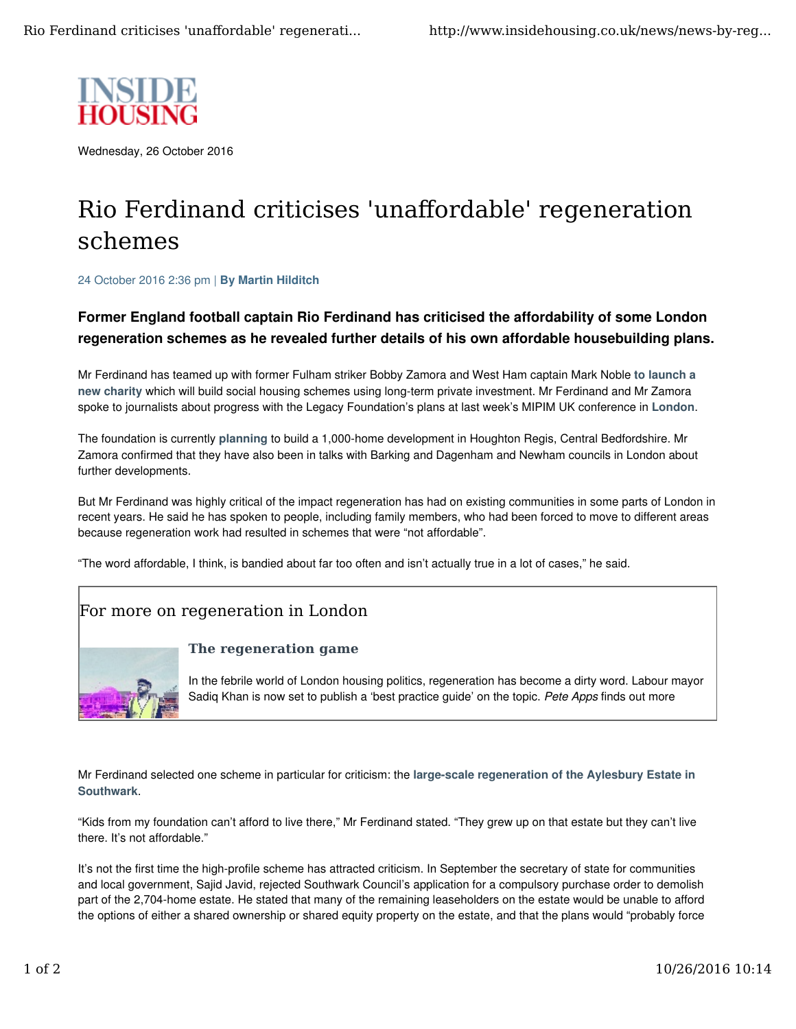

Wednesday, 26 October 2016

# Rio Ferdinand criticises 'unaffordable' regeneration schemes

24 October 2016 2:36 pm | By Martin Hilditch

## Former England football captain Rio Ferdinand has criticised the affordability of some London regeneration schemes as he revealed further details of his own affordable housebuilding plans.

Mr Ferdinand has teamed up with former Fulham striker Bobby Zamora and West Ham captain Mark Noble to launch a new charity which will build social housing schemes using long-term private investment. Mr Ferdinand and Mr Zamora spoke to journalists about progress with the Legacy Foundation's plans at last week's MIPIM UK conference in London.

The foundation is currently planning to build a 1,000-home development in Houghton Regis, Central Bedfordshire. Mr Zamora confirmed that they have also been in talks with Barking and Dagenham and Newham councils in London about further developments.

But Mr Ferdinand was highly critical of the impact regeneration has had on existing communities in some parts of London in recent years. He said he has spoken to people, including family members, who had been forced to move to different areas because regeneration work had resulted in schemes that were "not affordable".

"The word affordable, I think, is bandied about far too often and isn't actually true in a lot of cases," he said.

## For more on regeneration in London



### **The regeneration game**

In the febrile world of London housing politics, regeneration has become a dirty word. Labour mayor Sadig Khan is now set to publish a 'best practice guide' on the topic. Pete Apps finds out more

Mr Ferdinand selected one scheme in particular for criticism: the large-scale regeneration of the Aylesbury Estate in Southwark.

"Kids from my foundation can't afford to live there," Mr Ferdinand stated. "They grew up on that estate but they can't live there. It's not affordable."

It's not the first time the high-profile scheme has attracted criticism. In September the secretary of state for communities and local government, Sajid Javid, rejected Southwark Council's application for a compulsory purchase order to demolish part of the 2,704-home estate. He stated that many of the remaining leaseholders on the estate would be unable to afford the options of either a shared ownership or shared equity property on the estate, and that the plans would "probably force